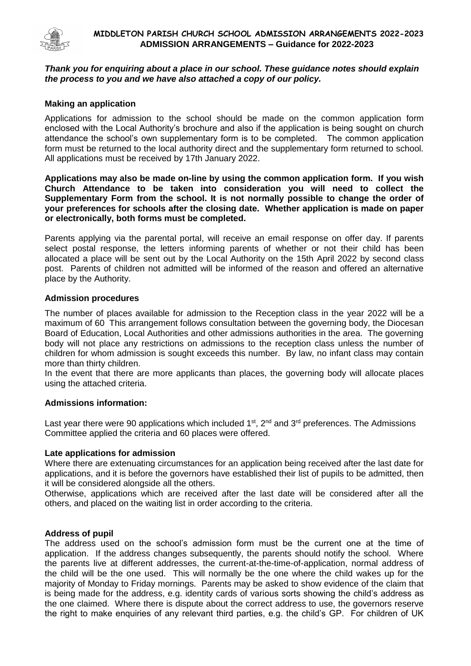

# *Thank you for enquiring about a place in our school. These guidance notes should explain the process to you and we have also attached a copy of our policy.*

# **Making an application**

Applications for admission to the school should be made on the common application form enclosed with the Local Authority's brochure and also if the application is being sought on church attendance the school's own supplementary form is to be completed. The common application form must be returned to the local authority direct and the supplementary form returned to school. All applications must be received by 17th January 2022.

**Applications may also be made on-line by using the common application form. If you wish Church Attendance to be taken into consideration you will need to collect the Supplementary Form from the school. It is not normally possible to change the order of your preferences for schools after the closing date. Whether application is made on paper or electronically, both forms must be completed.**

Parents applying via the parental portal, will receive an email response on offer day. If parents select postal response, the letters informing parents of whether or not their child has been allocated a place will be sent out by the Local Authority on the 15th April 2022 by second class post. Parents of children not admitted will be informed of the reason and offered an alternative place by the Authority.

# **Admission procedures**

The number of places available for admission to the Reception class in the year 2022 will be a maximum of 60 This arrangement follows consultation between the governing body, the Diocesan Board of Education, Local Authorities and other admissions authorities in the area. The governing body will not place any restrictions on admissions to the reception class unless the number of children for whom admission is sought exceeds this number. By law, no infant class may contain more than thirty children.

In the event that there are more applicants than places, the governing body will allocate places using the attached criteria.

# **Admissions information:**

Last year there were 90 applications which included  $1<sup>st</sup>$ ,  $2<sup>nd</sup>$  and  $3<sup>rd</sup>$  preferences. The Admissions Committee applied the criteria and 60 places were offered.

# **Late applications for admission**

Where there are extenuating circumstances for an application being received after the last date for applications, and it is before the governors have established their list of pupils to be admitted, then it will be considered alongside all the others.

Otherwise, applications which are received after the last date will be considered after all the others, and placed on the waiting list in order according to the criteria.

# **Address of pupil**

The address used on the school's admission form must be the current one at the time of application. If the address changes subsequently, the parents should notify the school. Where the parents live at different addresses, the current-at-the-time-of-application, normal address of the child will be the one used. This will normally be the one where the child wakes up for the majority of Monday to Friday mornings. Parents may be asked to show evidence of the claim that is being made for the address, e.g. identity cards of various sorts showing the child's address as the one claimed. Where there is dispute about the correct address to use, the governors reserve the right to make enquiries of any relevant third parties, e.g. the child's GP. For children of UK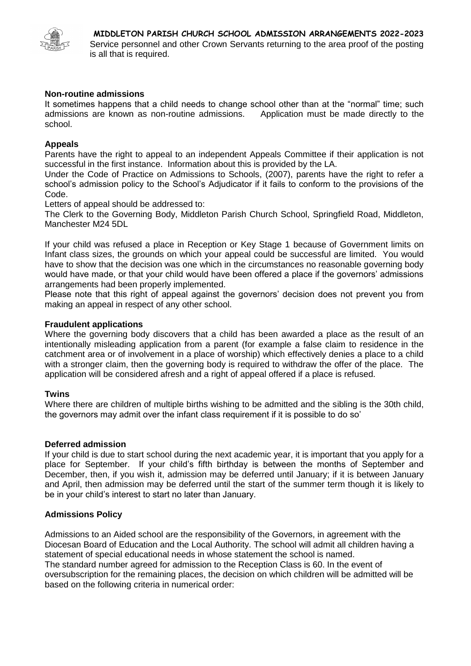

# **Non-routine admissions**

It sometimes happens that a child needs to change school other than at the "normal" time; such admissions are known as non-routine admissions. Application must be made directly to the school.

# **Appeals**

Parents have the right to appeal to an independent Appeals Committee if their application is not successful in the first instance. Information about this is provided by the LA.

Under the Code of Practice on Admissions to Schools, (2007), parents have the right to refer a school's admission policy to the School's Adjudicator if it fails to conform to the provisions of the Code.

Letters of appeal should be addressed to:

The Clerk to the Governing Body, Middleton Parish Church School, Springfield Road, Middleton, Manchester M24 5DL

If your child was refused a place in Reception or Key Stage 1 because of Government limits on Infant class sizes, the grounds on which your appeal could be successful are limited. You would have to show that the decision was one which in the circumstances no reasonable governing body would have made, or that your child would have been offered a place if the governors' admissions arrangements had been properly implemented.

Please note that this right of appeal against the governors' decision does not prevent you from making an appeal in respect of any other school.

# **Fraudulent applications**

Where the governing body discovers that a child has been awarded a place as the result of an intentionally misleading application from a parent (for example a false claim to residence in the catchment area or of involvement in a place of worship) which effectively denies a place to a child with a stronger claim, then the governing body is required to withdraw the offer of the place. The application will be considered afresh and a right of appeal offered if a place is refused.

# **Twins**

Where there are children of multiple births wishing to be admitted and the sibling is the 30th child, the governors may admit over the infant class requirement if it is possible to do so'

# **Deferred admission**

If your child is due to start school during the next academic year, it is important that you apply for a place for September. If your child's fifth birthday is between the months of September and December, then, if you wish it, admission may be deferred until January; if it is between January and April, then admission may be deferred until the start of the summer term though it is likely to be in your child's interest to start no later than January.

# **Admissions Policy**

Admissions to an Aided school are the responsibility of the Governors, in agreement with the Diocesan Board of Education and the Local Authority. The school will admit all children having a statement of special educational needs in whose statement the school is named. The standard number agreed for admission to the Reception Class is 60. In the event of oversubscription for the remaining places, the decision on which children will be admitted will be based on the following criteria in numerical order: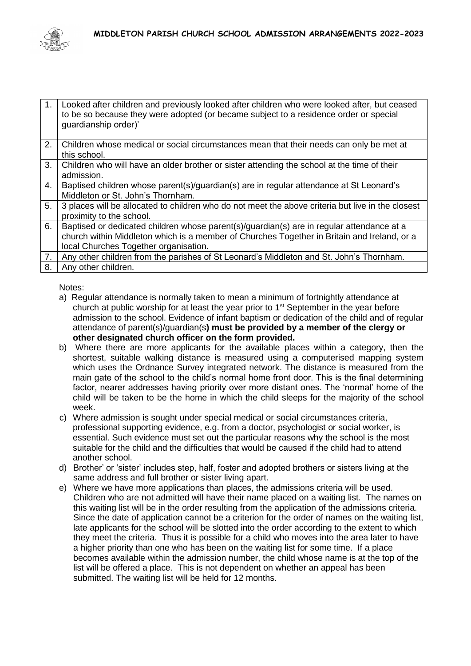

| $\mathbf{1}$ . | Looked after children and previously looked after children who were looked after, but ceased<br>to be so because they were adopted (or became subject to a residence order or special<br>guardianship order)'                     |
|----------------|-----------------------------------------------------------------------------------------------------------------------------------------------------------------------------------------------------------------------------------|
| 2.             | Children whose medical or social circumstances mean that their needs can only be met at<br>this school.                                                                                                                           |
| 3.             | Children who will have an older brother or sister attending the school at the time of their<br>admission.                                                                                                                         |
| 4.             | Baptised children whose parent(s)/guardian(s) are in regular attendance at St Leonard's<br>Middleton or St. John's Thornham.                                                                                                      |
| 5.             | 3 places will be allocated to children who do not meet the above criteria but live in the closest<br>proximity to the school.                                                                                                     |
| 6.             | Baptised or dedicated children whose parent(s)/guardian(s) are in regular attendance at a<br>church within Middleton which is a member of Churches Together in Britain and Ireland, or a<br>local Churches Together organisation. |
| 7.             | Any other children from the parishes of St Leonard's Middleton and St. John's Thornham.                                                                                                                                           |
| 8.             | Any other children.                                                                                                                                                                                                               |

Notes:

- a) Regular attendance is normally taken to mean a minimum of fortnightly attendance at church at public worship for at least the year prior to 1<sup>st</sup> September in the year before admission to the school. Evidence of infant baptism or dedication of the child and of regular attendance of parent(s)/guardian(s**) must be provided by a member of the clergy or other designated church officer on the form provided.**
- b) Where there are more applicants for the available places within a category, then the shortest, suitable walking distance is measured using a computerised mapping system which uses the Ordnance Survey integrated network. The distance is measured from the main gate of the school to the child's normal home front door. This is the final determining factor, nearer addresses having priority over more distant ones. The 'normal' home of the child will be taken to be the home in which the child sleeps for the majority of the school week.
- c) Where admission is sought under special medical or social circumstances criteria, professional supporting evidence, e.g. from a doctor, psychologist or social worker, is essential. Such evidence must set out the particular reasons why the school is the most suitable for the child and the difficulties that would be caused if the child had to attend another school.
- d) Brother' or 'sister' includes step, half, foster and adopted brothers or sisters living at the same address and full brother or sister living apart.
- e) Where we have more applications than places, the admissions criteria will be used. Children who are not admitted will have their name placed on a waiting list. The names on this waiting list will be in the order resulting from the application of the admissions criteria. Since the date of application cannot be a criterion for the order of names on the waiting list, late applicants for the school will be slotted into the order according to the extent to which they meet the criteria. Thus it is possible for a child who moves into the area later to have a higher priority than one who has been on the waiting list for some time. If a place becomes available within the admission number, the child whose name is at the top of the list will be offered a place. This is not dependent on whether an appeal has been submitted. The waiting list will be held for 12 months.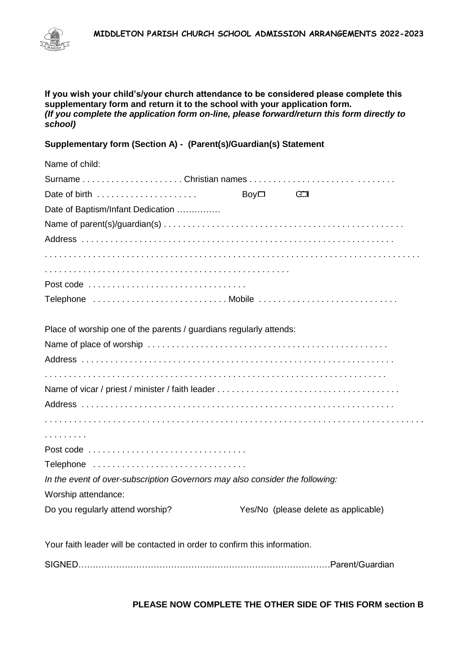



**If you wish your child's/your church attendance to be considered please complete this supplementary form and return it to the school with your application form.** *(If you complete the application form on-line, please forward/return this form directly to school)*

# **Supplementary form (Section A) - (Parent(s)/Guardian(s) Statement**

| Name of child:                                                               |      |                                      |  |
|------------------------------------------------------------------------------|------|--------------------------------------|--|
|                                                                              |      |                                      |  |
| Date of birth                                                                | Boy□ | Œ                                    |  |
| Date of Baptism/Infant Dedication                                            |      |                                      |  |
|                                                                              |      |                                      |  |
|                                                                              |      |                                      |  |
|                                                                              |      |                                      |  |
|                                                                              |      |                                      |  |
|                                                                              |      |                                      |  |
|                                                                              |      |                                      |  |
|                                                                              |      |                                      |  |
| Place of worship one of the parents / guardians regularly attends:           |      |                                      |  |
|                                                                              |      |                                      |  |
|                                                                              |      |                                      |  |
|                                                                              |      |                                      |  |
|                                                                              |      |                                      |  |
|                                                                              |      |                                      |  |
|                                                                              |      |                                      |  |
| .                                                                            |      |                                      |  |
|                                                                              |      |                                      |  |
| Telephone                                                                    |      |                                      |  |
| In the event of over-subscription Governors may also consider the following: |      |                                      |  |
| Worship attendance:                                                          |      |                                      |  |
| Do you regularly attend worship?                                             |      | Yes/No (please delete as applicable) |  |
|                                                                              |      |                                      |  |
|                                                                              |      |                                      |  |

Your faith leader will be contacted in order to confirm this information.

SIGNED……………………………………………………………………………Parent/Guardian

**PLEASE NOW COMPLETE THE OTHER SIDE OF THIS FORM section B**